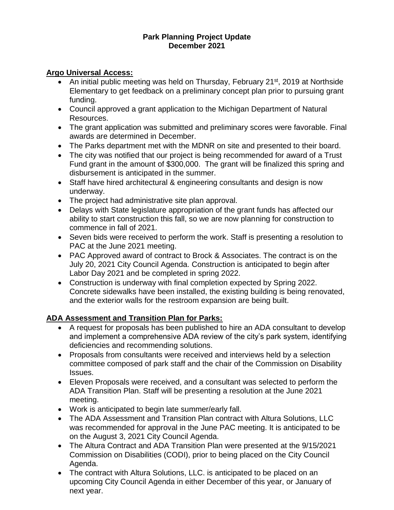#### **Park Planning Project Update December 2021**

#### **Argo Universal Access:**

- An initial public meeting was held on Thursday, February 21<sup>st</sup>, 2019 at Northside Elementary to get feedback on a preliminary concept plan prior to pursuing grant funding.
- Council approved a grant application to the Michigan Department of Natural Resources.
- The grant application was submitted and preliminary scores were favorable. Final awards are determined in December.
- The Parks department met with the MDNR on site and presented to their board.
- The city was notified that our project is being recommended for award of a Trust Fund grant in the amount of \$300,000. The grant will be finalized this spring and disbursement is anticipated in the summer.
- Staff have hired architectural & engineering consultants and design is now underway.
- The project had administrative site plan approval.
- Delays with State legislature appropriation of the grant funds has affected our ability to start construction this fall, so we are now planning for construction to commence in fall of 2021.
- Seven bids were received to perform the work. Staff is presenting a resolution to PAC at the June 2021 meeting.
- PAC Approved award of contract to Brock & Associates. The contract is on the July 20, 2021 City Council Agenda. Construction is anticipated to begin after Labor Day 2021 and be completed in spring 2022.
- Construction is underway with final completion expected by Spring 2022. Concrete sidewalks have been installed, the existing building is being renovated, and the exterior walls for the restroom expansion are being built.

### **ADA Assessment and Transition Plan for Parks:**

- A request for proposals has been published to hire an ADA consultant to develop and implement a comprehensive ADA review of the city's park system, identifying deficiencies and recommending solutions.
- Proposals from consultants were received and interviews held by a selection committee composed of park staff and the chair of the Commission on Disability Issues.
- Eleven Proposals were received, and a consultant was selected to perform the ADA Transition Plan. Staff will be presenting a resolution at the June 2021 meeting.
- Work is anticipated to begin late summer/early fall.
- The ADA Assessment and Transition Plan contract with Altura Solutions, LLC was recommended for approval in the June PAC meeting. It is anticipated to be on the August 3, 2021 City Council Agenda.
- The Altura Contract and ADA Transition Plan were presented at the 9/15/2021 Commission on Disabilities (CODI), prior to being placed on the City Council Agenda.
- The contract with Altura Solutions, LLC. is anticipated to be placed on an upcoming City Council Agenda in either December of this year, or January of next year.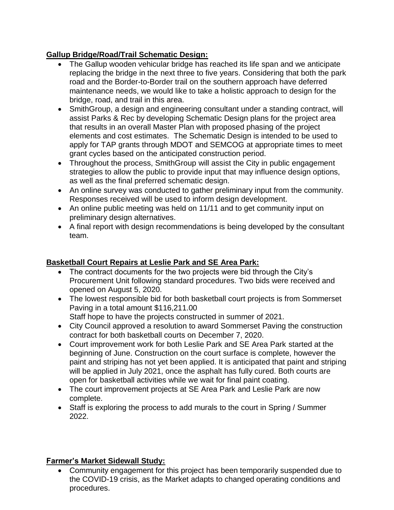# **Gallup Bridge/Road/Trail Schematic Design:**

- The Gallup wooden vehicular bridge has reached its life span and we anticipate replacing the bridge in the next three to five years. Considering that both the park road and the Border-to-Border trail on the southern approach have deferred maintenance needs, we would like to take a holistic approach to design for the bridge, road, and trail in this area.
- SmithGroup, a design and engineering consultant under a standing contract, will assist Parks & Rec by developing Schematic Design plans for the project area that results in an overall Master Plan with proposed phasing of the project elements and cost estimates. The Schematic Design is intended to be used to apply for TAP grants through MDOT and SEMCOG at appropriate times to meet grant cycles based on the anticipated construction period.
- Throughout the process, SmithGroup will assist the City in public engagement strategies to allow the public to provide input that may influence design options, as well as the final preferred schematic design.
- An online survey was conducted to gather preliminary input from the community. Responses received will be used to inform design development.
- An online public meeting was held on 11/11 and to get community input on preliminary design alternatives.
- A final report with design recommendations is being developed by the consultant team.

# **Basketball Court Repairs at Leslie Park and SE Area Park:**

- The contract documents for the two projects were bid through the City's Procurement Unit following standard procedures. Two bids were received and opened on August 5, 2020.
- The lowest responsible bid for both basketball court projects is from Sommerset Paving in a total amount \$116,211.00 Staff hope to have the projects constructed in summer of 2021.
- City Council approved a resolution to award Sommerset Paving the construction contract for both basketball courts on December 7, 2020.
- Court improvement work for both Leslie Park and SE Area Park started at the beginning of June. Construction on the court surface is complete, however the paint and striping has not yet been applied. It is anticipated that paint and striping will be applied in July 2021, once the asphalt has fully cured. Both courts are open for basketball activities while we wait for final paint coating.
- The court improvement projects at SE Area Park and Leslie Park are now complete.
- Staff is exploring the process to add murals to the court in Spring / Summer 2022.

### **Farmer's Market Sidewall Study:**

• Community engagement for this project has been temporarily suspended due to the COVID-19 crisis, as the Market adapts to changed operating conditions and procedures.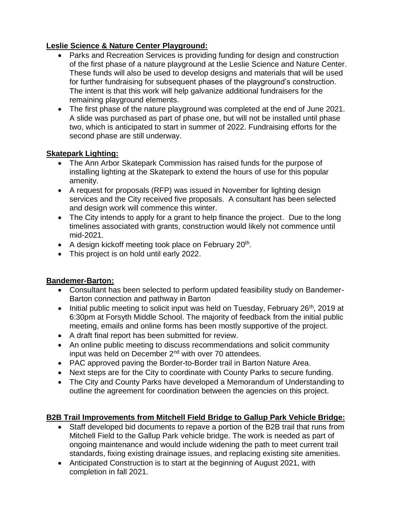### **Leslie Science & Nature Center Playground:**

- Parks and Recreation Services is providing funding for design and construction of the first phase of a nature playground at the Leslie Science and Nature Center. These funds will also be used to develop designs and materials that will be used for further fundraising for subsequent phases of the playground's construction. The intent is that this work will help galvanize additional fundraisers for the remaining playground elements.
- The first phase of the nature playground was completed at the end of June 2021. A slide was purchased as part of phase one, but will not be installed until phase two, which is anticipated to start in summer of 2022. Fundraising efforts for the second phase are still underway.

### **Skatepark Lighting:**

- The Ann Arbor Skatepark Commission has raised funds for the purpose of installing lighting at the Skatepark to extend the hours of use for this popular amenity.
- A request for proposals (RFP) was issued in November for lighting design services and the City received five proposals. A consultant has been selected and design work will commence this winter.
- The City intends to apply for a grant to help finance the project. Due to the long timelines associated with grants, construction would likely not commence until mid-2021.
- A design kickoff meeting took place on February  $20<sup>th</sup>$ .
- This project is on hold until early 2022.

# **Bandemer-Barton:**

- Consultant has been selected to perform updated feasibility study on Bandemer-Barton connection and pathway in Barton
- Initial public meeting to solicit input was held on Tuesday, February  $26<sup>th</sup>$ , 2019 at 6:30pm at Forsyth Middle School. The majority of feedback from the initial public meeting, emails and online forms has been mostly supportive of the project.
- A draft final report has been submitted for review.
- An online public meeting to discuss recommendations and solicit community input was held on December  $2<sup>nd</sup>$  with over 70 attendees.
- PAC approved paving the Border-to-Border trail in Barton Nature Area.
- Next steps are for the City to coordinate with County Parks to secure funding.
- The City and County Parks have developed a Memorandum of Understanding to outline the agreement for coordination between the agencies on this project.

# **B2B Trail Improvements from Mitchell Field Bridge to Gallup Park Vehicle Bridge:**

- Staff developed bid documents to repave a portion of the B2B trail that runs from Mitchell Field to the Gallup Park vehicle bridge. The work is needed as part of ongoing maintenance and would include widening the path to meet current trail standards, fixing existing drainage issues, and replacing existing site amenities.
- Anticipated Construction is to start at the beginning of August 2021, with completion in fall 2021.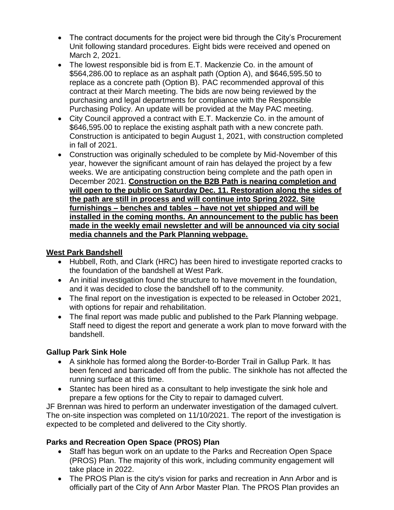- The contract documents for the project were bid through the City's Procurement Unit following standard procedures. Eight bids were received and opened on March 2, 2021.
- The lowest responsible bid is from E.T. Mackenzie Co. in the amount of \$564,286.00 to replace as an asphalt path (Option A), and \$646,595.50 to replace as a concrete path (Option B). PAC recommended approval of this contract at their March meeting. The bids are now being reviewed by the purchasing and legal departments for compliance with the Responsible Purchasing Policy. An update will be provided at the May PAC meeting.
- City Council approved a contract with E.T. Mackenzie Co. in the amount of \$646,595.00 to replace the existing asphalt path with a new concrete path. Construction is anticipated to begin August 1, 2021, with construction completed in fall of 2021.
- Construction was originally scheduled to be complete by Mid-November of this year, however the significant amount of rain has delayed the project by a few weeks. We are anticipating construction being complete and the path open in December 2021. **Construction on the B2B Path is nearing completion and will open to the public on Saturday Dec. 11. Restoration along the sides of the path are still in process and will continue into Spring 2022. Site furnishings – benches and tables – have not yet shipped and will be installed in the coming months. An announcement to the public has been made in the weekly email newsletter and will be announced via city social media channels and the Park Planning webpage.**

### **West Park Bandshell**

- Hubbell, Roth, and Clark (HRC) has been hired to investigate reported cracks to the foundation of the bandshell at West Park.
- An initial investigation found the structure to have movement in the foundation, and it was decided to close the bandshell off to the community.
- The final report on the investigation is expected to be released in October 2021, with options for repair and rehabilitation.
- The final report was made public and published to the Park Planning webpage. Staff need to digest the report and generate a work plan to move forward with the bandshell.

### **Gallup Park Sink Hole**

- A sinkhole has formed along the Border-to-Border Trail in Gallup Park. It has been fenced and barricaded off from the public. The sinkhole has not affected the running surface at this time.
- Stantec has been hired as a consultant to help investigate the sink hole and prepare a few options for the City to repair to damaged culvert.

JF Brennan was hired to perform an underwater investigation of the damaged culvert. The on-site inspection was completed on 11/10/2021. The report of the investigation is expected to be completed and delivered to the City shortly.

# **Parks and Recreation Open Space (PROS) Plan**

- Staff has begun work on an update to the Parks and Recreation Open Space (PROS) Plan. The majority of this work, including community engagement will take place in 2022.
- The PROS Plan is the city's vision for parks and recreation in Ann Arbor and is officially part of the City of Ann Arbor Master Plan. The PROS Plan provides an